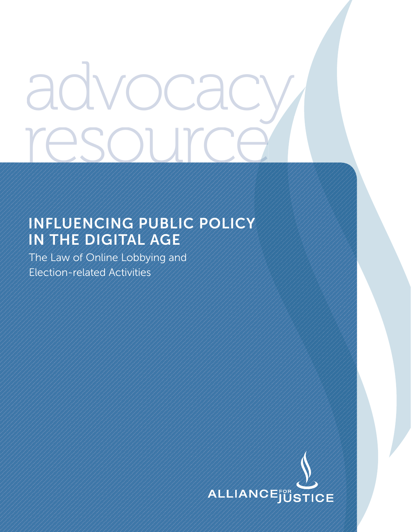# advocac resour me

# **INFLUENCING PUBLIC POLICY IN THE DIGITAL AGE**

The Law of Online Lobbying and Election-related Activities

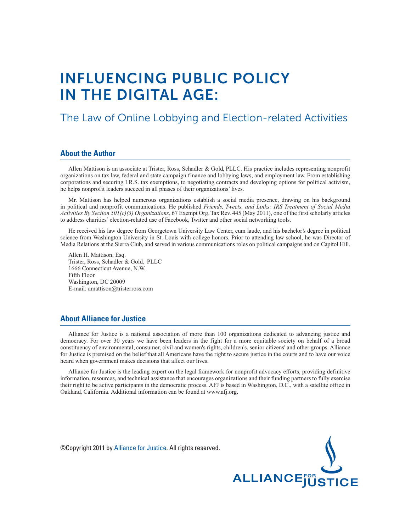# **INFLUENCING PUBLIC POLICY IN THE DIGITAL AGE:**

# The Law of Online Lobbying and Election-related Activities

#### **About the Author**

Allen Mattison is an associate at Trister, Ross, Schadler & Gold, PLLC. His practice includes representing nonprofit organizations on tax law, federal and state campaign finance and lobbying laws, and employment law. From establishing corporations and securing I.R.S. tax exemptions, to negotiating contracts and developing options for political activism, he helps nonprofit leaders succeed in all phases of their organizations' lives.

Mr. Mattison has helped numerous organizations establish a social media presence, drawing on his background in political and nonprofit communications. He published *Friends, Tweets, and Links: IRS Treatment of Social Media Activities By Section 501(c)(3) Organizations,* 67 Exempt Org. Tax Rev. 445 (May 2011), one of the first scholarly articles to address charities' election-related use of Facebook, Twitter and other social networking tools.

He received his law degree from Georgetown University Law Center, cum laude, and his bachelor's degree in political science from Washington University in St. Louis with college honors. Prior to attending law school, he was Director of Media Relations at the Sierra Club, and served in various communications roles on political campaigns and on Capitol Hill.

Allen H. Mattison, Esq. Trister, Ross, Schadler & Gold, PLLC 1666 Connecticut Avenue, N.W. Fifth Floor Washington, DC 20009 E-mail: amattison@tristerross.com

#### **About Alliance for Justice**

Alliance for Justice is a national association of more than 100 organizations dedicated to advancing justice and democracy. For over 30 years we have been leaders in the fight for a more equitable society on behalf of a broad constituency of environmental, consumer, civil and women's rights, children's, senior citizens' and other groups. Alliance for Justice is premised on the belief that all Americans have the right to secure justice in the courts and to have our voice heard when government makes decisions that affect our lives.

Alliance for Justice is the leading expert on the legal framework for nonprofit advocacy efforts, providing definitive information, resources, and technical assistance that encourages organizations and their funding partners to fully exercise their right to be active participants in the democratic process. AFJ is based in Washington, D.C., with a satellite office in Oakland, California. Additional information can be found at www.afj.org.

©Copyright 2011 by Alliance for Justice. All rights reserved.

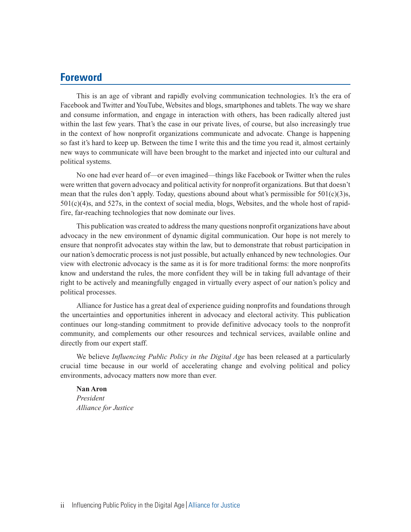# **Foreword**

This is an age of vibrant and rapidly evolving communication technologies. It's the era of Facebook and Twitter and YouTube, Websites and blogs, smartphones and tablets. The way we share and consume information, and engage in interaction with others, has been radically altered just within the last few years. That's the case in our private lives, of course, but also increasingly true in the context of how nonprofit organizations communicate and advocate. Change is happening so fast it's hard to keep up. Between the time I write this and the time you read it, almost certainly new ways to communicate will have been brought to the market and injected into our cultural and political systems.

No one had ever heard of—or even imagined—things like Facebook or Twitter when the rules were written that govern advocacy and political activity for nonprofit organizations. But that doesn't mean that the rules don't apply. Today, questions abound about what's permissible for  $501(c)(3)s$ , 501(c)(4)s, and 527s, in the context of social media, blogs, Websites, and the whole host of rapidfire, far-reaching technologies that now dominate our lives.

This publication was created to address the many questions nonprofit organizations have about advocacy in the new environment of dynamic digital communication. Our hope is not merely to ensure that nonprofit advocates stay within the law, but to demonstrate that robust participation in our nation's democratic process is not just possible, but actually enhanced by new technologies. Our view with electronic advocacy is the same as it is for more traditional forms: the more nonprofits know and understand the rules, the more confident they will be in taking full advantage of their right to be actively and meaningfully engaged in virtually every aspect of our nation's policy and political processes.

Alliance for Justice has a great deal of experience guiding nonprofits and foundations through the uncertainties and opportunities inherent in advocacy and electoral activity. This publication continues our long-standing commitment to provide definitive advocacy tools to the nonprofit community, and complements our other resources and technical services, available online and directly from our expert staff.

We believe *Influencing Public Policy in the Digital Age* has been released at a particularly crucial time because in our world of accelerating change and evolving political and policy environments, advocacy matters now more than ever.

**Nan Aron** *President Alliance for Justice*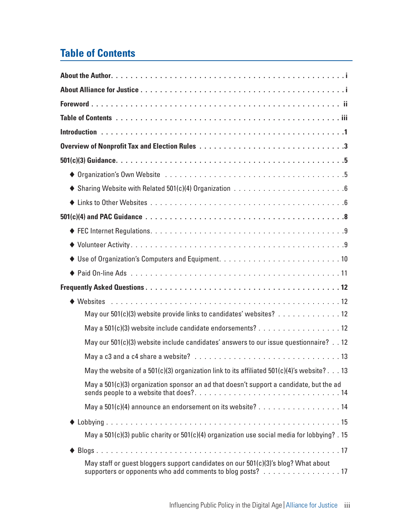# **Table of Contents**

| May our 501(c)(3) website provide links to candidates' websites? 12                                                                              |
|--------------------------------------------------------------------------------------------------------------------------------------------------|
| May a 501(c)(3) website include candidate endorsements? 12                                                                                       |
| May our 501(c)(3) website include candidates' answers to our issue questionnaire? 12                                                             |
|                                                                                                                                                  |
| May the website of a 501(c)(3) organization link to its affiliated 501(c)(4)'s website? 13                                                       |
| May a 501(c)(3) organization sponsor an ad that doesn't support a candidate, but the ad                                                          |
| May a 501(c)(4) announce an endorsement on its website? 14                                                                                       |
|                                                                                                                                                  |
| May a 501(c)(3) public charity or 501(c)(4) organization use social media for lobbying? . 15                                                     |
|                                                                                                                                                  |
| May staff or guest bloggers support candidates on our 501(c)(3)'s blog? What about<br>supporters or opponents who add comments to blog posts? 17 |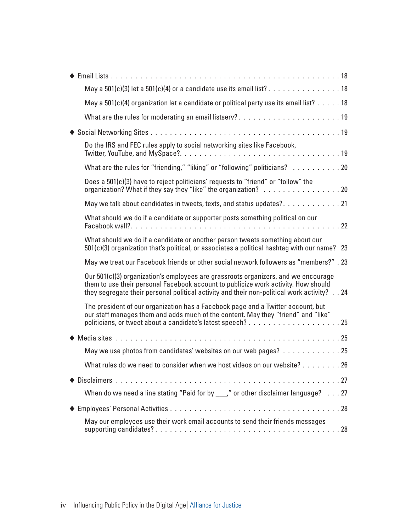| May a 501(c)(3) let a 501(c)(4) or a candidate use its email list? 18                                                                                                                                                                                                   |
|-------------------------------------------------------------------------------------------------------------------------------------------------------------------------------------------------------------------------------------------------------------------------|
| May a 501(c)(4) organization let a candidate or political party use its email list? 18                                                                                                                                                                                  |
| What are the rules for moderating an email listserv? 19                                                                                                                                                                                                                 |
|                                                                                                                                                                                                                                                                         |
| Do the IRS and FEC rules apply to social networking sites like Facebook,                                                                                                                                                                                                |
| What are the rules for "friending," "liking" or "following" politicians? 20                                                                                                                                                                                             |
| Does a 501(c)(3) have to reject politicians' requests to "friend" or "follow" the<br>organization? What if they say they "like" the organization? 20                                                                                                                    |
| May we talk about candidates in tweets, texts, and status updates?21                                                                                                                                                                                                    |
| What should we do if a candidate or supporter posts something political on our                                                                                                                                                                                          |
| What should we do if a candidate or another person tweets something about our<br>501(c)(3) organization that's political, or associates a political hashtag with our name? 23                                                                                           |
| May we treat our Facebook friends or other social network followers as "members?" . 23                                                                                                                                                                                  |
| Our 501(c)(3) organization's employees are grassroots organizers, and we encourage<br>them to use their personal Facebook account to publicize work activity. How should<br>they segregate their personal political activity and their non-political work activity?  24 |
| The president of our organization has a Facebook page and a Twitter account, but<br>our staff manages them and adds much of the content. May they "friend" and "like"                                                                                                   |
|                                                                                                                                                                                                                                                                         |
| May we use photos from candidates' websites on our web pages? 25                                                                                                                                                                                                        |
| What rules do we need to consider when we host videos on our website? 26                                                                                                                                                                                                |
|                                                                                                                                                                                                                                                                         |
| When do we need a line stating "Paid for by ___," or other disclaimer language? 27                                                                                                                                                                                      |
|                                                                                                                                                                                                                                                                         |
| May our employees use their work email accounts to send their friends messages                                                                                                                                                                                          |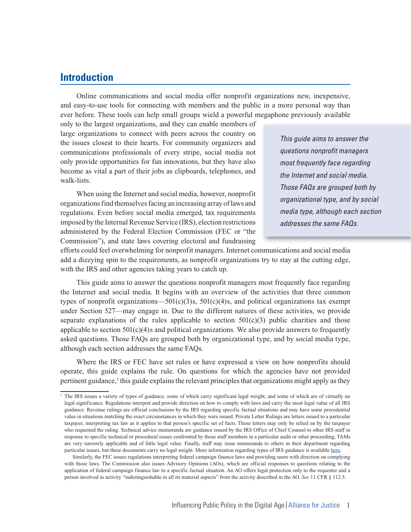# **Introduction**

Online communications and social media offer nonprofit organizations new, inexpensive, and easy-to-use tools for connecting with members and the public in a more personal way than ever before. These tools can help small groups wield a powerful megaphone previously available

only to the largest organizations, and they can enable members of large organizations to connect with peers across the country on the issues closest to their hearts. For community organizers and communications professionals of every stripe, social media not only provide opportunities for fun innovations, but they have also become as vital a part of their jobs as clipboards, telephones, and walk-lists.

When using the Internet and social media, however, nonprofit organizations find themselves facing an increasing array of laws and regulations. Even before social media emerged, tax requirements imposed by the Internal Revenue Service (IRS), election restrictions administered by the Federal Election Commission (FEC or "the Commission"), and state laws covering electoral and fundraising

This guide aims to answer the questions nonprofit managers most frequently face regarding the Internet and social media. Those FAQs are grouped both by organizational type, and by social media type, although each section addresses the same FAQs.

efforts could feel overwhelming for nonprofit managers. Internet communications and social media add a dizzying spin to the requirements, as nonprofit organizations try to stay at the cutting edge, with the IRS and other agencies taking years to catch up.

This guide aims to answer the questions nonprofit managers most frequently face regarding the Internet and social media. It begins with an overview of the activities that three common types of nonprofit organizations—501(c)(3)s, 501(c)(4)s, and political organizations tax exempt under Section 527—may engage in. Due to the different natures of these activities, we provide separate explanations of the rules applicable to section  $501(c)(3)$  public charities and those applicable to section  $501(c)(4)$ s and political organizations. We also provide answers to frequently asked questions. Those FAQs are grouped both by organizational type, and by social media type, although each section addresses the same FAQs.

Where the IRS or FEC have set rules or have expressed a view on how nonprofits should operate, this guide explains the rule. On questions for which the agencies have not provided pertinent guidance,<sup>1</sup> this guide explains the relevant principles that organizations might apply as they

<sup>&</sup>lt;sup>1</sup> The IRS issues a variety of types of guidance, some of which carry significant legal weight, and some of which are of virtually no legal significance. Regulations interpret and provide direction on how to comply with laws and carry the most legal value of all IRS guidance. Revenue rulings are official conclusions by the IRS regarding specific factual situations and may have some precedential value in situations matching the exact circumstances in which they were issued. Private Letter Rulings are letters issued to a particular taxpayer, interpreting tax law as it applies to that person's specific set of facts. These letters may only be relied on by the taxpayer who requested the ruling. Technical advice memoranda are guidance issued by the IRS Office of Chief Counsel to other IRS staff in response to specific technical or procedural issues confronted by those staff members in a particular audit or other proceeding; TAMs are very narrowly applicable and of little legal value. Finally, staff may issue memoranda to others in their department regarding particular issues, but these documents carry no legal weight. More information regarding types of IRS guidance is available here.

Similarly, the FEC issues regulations interpreting federal campaign finance laws and providing users with direction on complying with those laws. The Commission also issues Advisory Opinions (AOs), which are official responses to questions relating to the application of federal campaign finance law to a specific factual situation. An AO offers legal protection only to the requester and a person involved in activity "indistinguishable in all its material aspects" from the activity described in the AO. *See* 11 CFR § 112.5.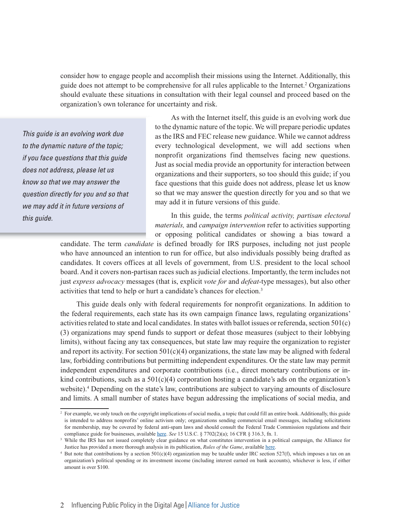consider how to engage people and accomplish their missions using the Internet. Additionally, this guide does not attempt to be comprehensive for all rules applicable to the Internet.<sup>2</sup> Organizations should evaluate these situations in consultation with their legal counsel and proceed based on the organization's own tolerance for uncertainty and risk.

This guide is an evolving work due to the dynamic nature of the topic; if you face questions that this guide does not address, please let us know so that we may answer the question directly for you and so that we may add it in future versions of this guide.

As with the Internet itself, this guide is an evolving work due to the dynamic nature of the topic. We will prepare periodic updates as the IRS and FEC release new guidance. While we cannot address every technological development, we will add sections when nonprofit organizations find themselves facing new questions. Just as social media provide an opportunity for interaction between organizations and their supporters, so too should this guide; if you face questions that this guide does not address, please let us know so that we may answer the question directly for you and so that we may add it in future versions of this guide.

In this guide, the terms *political activity, partisan electoral materials,* and *campaign intervention* refer to activities supporting or opposing political candidates or showing a bias toward a

candidate. The term *candidate* is defined broadly for IRS purposes, including not just people who have announced an intention to run for office, but also individuals possibly being drafted as candidates. It covers offices at all levels of government, from U.S. president to the local school board. And it covers non-partisan races such as judicial elections. Importantly, the term includes not just *express advocacy* messages (that is, explicit *vote for* and *defeat-*type messages), but also other activities that tend to help or hurt a candidate's chances for election.3

This guide deals only with federal requirements for nonprofit organizations. In addition to the federal requirements, each state has its own campaign finance laws, regulating organizations' activities related to state and local candidates. In states with ballot issues or referenda, section 501(c) (3) organizations may spend funds to support or defeat those measures (subject to their lobbying limits), without facing any tax consequences, but state law may require the organization to register and report its activity. For section  $501(c)(4)$  organizations, the state law may be aligned with federal law, forbidding contributions but permitting independent expenditures. Or the state law may permit independent expenditures and corporate contributions (i.e., direct monetary contributions or inkind contributions, such as a  $501(c)(4)$  corporation hosting a candidate's ads on the organization's website).<sup>4</sup> Depending on the state's law, contributions are subject to varying amounts of disclosure and limits. A small number of states have begun addressing the implications of social media, and

<sup>&</sup>lt;sup>2</sup> For example, we only touch on the copyright implications of social media, a topic that could fill an entire book. Additionally, this guide is intended to address nonprofits' online activism only; organizations sending commercial email messages, including solicitations for membership, may be covered by federal anti-spam laws and should consult the Federal Trade Commission regulations and their compliance guide for businesses, available here. *See* 15 U.S.C. § 7702(2)(a); 16 CFR § 316.3, fn. 1.

<sup>&</sup>lt;sup>3</sup> While the IRS has not issued completely clear guidance on what constitutes intervention in a political campaign, the Alliance for Justice has provided a more thorough analysis in its publication, *Rules of the Game*, available here.

<sup>&</sup>lt;sup>4</sup> But note that contributions by a section  $501(c)(4)$  organization may be taxable under IRC section 527(f), which imposes a tax on an organization's political spending or its investment income (including interest earned on bank accounts), whichever is less, if either amount is over \$100.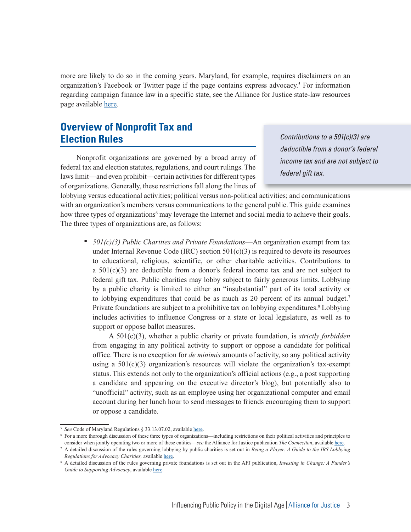more are likely to do so in the coming years. Maryland, for example, requires disclaimers on an organization's Facebook or Twitter page if the page contains express advocacy.<sup>5</sup> For information regarding campaign finance law in a specific state, see the Alliance for Justice state-law resources page available here.

# **Overview of Nonprofit Tax and Election Rules**

Nonprofit organizations are governed by a broad array of federal tax and election statutes, regulations, and court rulings. The laws limit—and even prohibit—certain activities for different types of organizations. Generally, these restrictions fall along the lines of

Contributions to a 501(c)(3) are deductible from a donor's federal income tax and are not subject to federal gift tax.

lobbying versus educational activities; political versus non-political activities; and communications with an organization's members versus communications to the general public. This guide examines how three types of organizations<sup>6</sup> may leverage the Internet and social media to achieve their goals. The three types of organizations are, as follows:

■ *501(c)(3) Public Charities and Private Foundations*—An organization exempt from tax under Internal Revenue Code (IRC) section  $501(c)(3)$  is required to devote its resources to educational, religious, scientific, or other charitable activities. Contributions to a  $501(c)(3)$  are deductible from a donor's federal income tax and are not subject to federal gift tax. Public charities may lobby subject to fairly generous limits. Lobbying by a public charity is limited to either an "insubstantial" part of its total activity or to lobbying expenditures that could be as much as 20 percent of its annual budget.7 Private foundations are subject to a prohibitive tax on lobbying expenditures.<sup>8</sup> Lobbying includes activities to influence Congress or a state or local legislature, as well as to support or oppose ballot measures.

 A 501(c)(3), whether a public charity or private foundation, is *strictly forbidden* from engaging in any political activity to support or oppose a candidate for political office. There is no exception for *de minimis* amounts of activity, so any political activity using a  $501(c)(3)$  organization's resources will violate the organization's tax-exempt status. This extends not only to the organization's official actions (e.g., a post supporting a candidate and appearing on the executive director's blog), but potentially also to "unofficial" activity, such as an employee using her organizational computer and email account during her lunch hour to send messages to friends encouraging them to support or oppose a candidate.

<sup>5</sup>*See* Code of Maryland Regulations § 33.13.07.02, available here.

<sup>6</sup> For a more thorough discussion of these three types of organizations—including restrictions on their political activities and principles to consider when jointly operating two or more of these entities—*see* the Alliance for Justice publication *The Connection*, available here.

<sup>7</sup> A detailed discussion of the rules governing lobbying by public charities is set out in *Being a Player: A Guide to the IRS Lobbying Regulations for Advocacy Charities,* available here.

<sup>8</sup> A detailed discussion of the rules governing private foundations is set out in the AFJ publication, *Investing in Change: A Funder's*  Guide to Supporting Advocacy, available here.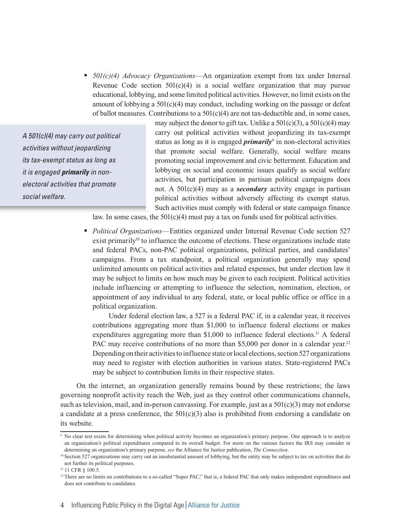<sup>n</sup> *501(c)(4) Advocacy Organizations*—An organization exempt from tax under Internal Revenue Code section  $501(c)(4)$  is a social welfare organization that may pursue educational, lobbying, and some limited political activities. However, no limit exists on the amount of lobbying a  $501(c)(4)$  may conduct, including working on the passage or defeat of ballot measures. Contributions to a  $501(c)(4)$  are not tax-deductible and, in some cases,

A 501(c)(4) may carry out political activities without jeopardizing its tax-exempt status as long as it is engaged **primarily** in nonelectoral activities that promote social welfare.

may subject the donor to gift tax. Unlike a  $501(c)(3)$ , a  $501(c)(4)$  may carry out political activities without jeopardizing its tax-exempt status as long as it is engaged *primarily*<sup>9</sup> in non-electoral activities that promote social welfare. Generally, social welfare means promoting social improvement and civic betterment. Education and lobbying on social and economic issues qualify as social welfare activities, but participation in partisan political campaigns does not. A 501(c)(4) may as a *secondary* activity engage in partisan political activities without adversely affecting its exempt status. Such activities must comply with federal or state campaign finance

law. In some cases, the  $501(c)(4)$  must pay a tax on funds used for political activities.

**•** *Political Organizations*—Entities organized under Internal Revenue Code section 527 exist primarily<sup>10</sup> to influence the outcome of elections. These organizations include state and federal PACs, non-PAC political organizations, political parties, and candidates' campaigns. From a tax standpoint, a political organization generally may spend unlimited amounts on political activities and related expenses, but under election law it may be subject to limits on how much may be given to each recipient. Political activities include influencing or attempting to influence the selection, nomination, election, or appointment of any individual to any federal, state, or local public office or office in a political organization.

 Under federal election law, a 527 is a federal PAC if, in a calendar year, it receives contributions aggregating more than \$1,000 to influence federal elections or makes expenditures aggregating more than \$1,000 to influence federal elections.<sup>11</sup> A federal PAC may receive contributions of no more than \$5,000 per donor in a calendar year.<sup>12</sup> Depending on their activities to influence state or local elections, section 527 organizations may need to register with election authorities in various states. State-registered PACs may be subject to contribution limits in their respective states.

On the internet, an organization generally remains bound by these restrictions; the laws governing nonprofit activity reach the Web, just as they control other communications channels, such as television, mail, and in-person canvassing. For example, just as a  $501(c)(3)$  may not endorse a candidate at a press conference, the  $501(c)(3)$  also is prohibited from endorsing a candidate on its website.

<sup>9</sup> No clear test exists for determining when political activity becomes an organization's primary purpose. One approach is to analyze an organization's political expenditures compared to its overall budget. For more on the various factors the IRS may consider in determining an organization's primary purpose, *see* the Alliance for Justice publication, *The Connection*.

<sup>&</sup>lt;sup>10</sup> Section 527 organizations may carry out an insubstantial amount of lobbying, but the entity may be subject to tax on activities that do not further its political purposes.

<sup>&</sup>lt;sup>11</sup> 11 CFR § 100.5.

<sup>&</sup>lt;sup>12</sup> There are no limits on contributions to a so-called "Super PAC," that is, a federal PAC that only makes independent expenditures and does not contribute to candidates.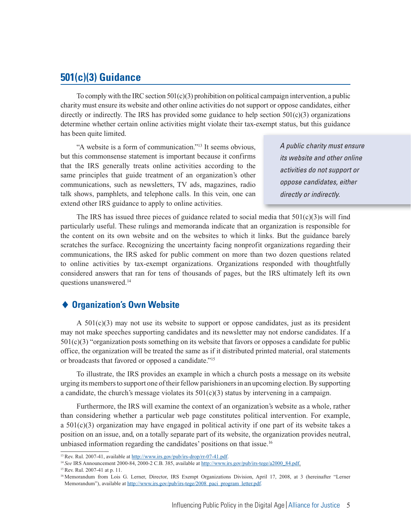# **501(c)(3) Guidance**

To comply with the IRC section  $501(c)(3)$  prohibition on political campaign intervention, a public charity must ensure its website and other online activities do not support or oppose candidates, either directly or indirectly. The IRS has provided some guidance to help section  $501(c)(3)$  organizations determine whether certain online activities might violate their tax-exempt status, but this guidance has been quite limited.

"A website is a form of communication."13 It seems obvious, but this commonsense statement is important because it confirms that the IRS generally treats online activities according to the same principles that guide treatment of an organization's other communications, such as newsletters, TV ads, magazines, radio talk shows, pamphlets, and telephone calls. In this vein, one can extend other IRS guidance to apply to online activities.

A public charity must ensure its website and other online activities do not support or oppose candidates, either directly or indirectly.

The IRS has issued three pieces of guidance related to social media that  $501(c)(3)$ s will find particularly useful. These rulings and memoranda indicate that an organization is responsible for the content on its own website and on the websites to which it links. But the guidance barely scratches the surface. Recognizing the uncertainty facing nonprofit organizations regarding their communications, the IRS asked for public comment on more than two dozen questions related to online activities by tax-exempt organizations. Organizations responded with thoughtfully considered answers that ran for tens of thousands of pages, but the IRS ultimately left its own questions unanswered.<sup>14</sup>

## ◆ Organization's Own Website

A  $501(c)(3)$  may not use its website to support or oppose candidates, just as its president may not make speeches supporting candidates and its newsletter may not endorse candidates. If a 501(c)(3) "organization posts something on its website that favors or opposes a candidate for public office, the organization will be treated the same as if it distributed printed material, oral statements or broadcasts that favored or opposed a candidate."15

To illustrate, the IRS provides an example in which a church posts a message on its website urging its members to support one of their fellow parishioners in an upcoming election. By supporting a candidate, the church's message violates its  $501(c)(3)$  status by intervening in a campaign.

Furthermore, the IRS will examine the context of an organization's website as a whole, rather than considering whether a particular web page constitutes political intervention. For example, a 501(c)(3) organization may have engaged in political activity if one part of its website takes a position on an issue, and, on a totally separate part of its website, the organization provides neutral, unbiased information regarding the candidates' positions on that issue.16

<sup>&</sup>lt;sup>13</sup> Rev. Rul. 2007-41, available at http://www.irs.gov/pub/irs-drop/rr-07-41.pdf.

<sup>14</sup>*See* IRS Announcement 2000-84, 2000-2 C.B. 385, available at http://www.irs.gov/pub/irs-tege/a2000\_84.pdf. 15 Rev. Rul. 2007-41 at p. 11.

<sup>&</sup>lt;sup>16</sup> Memorandum from Lois G. Lerner, Director, IRS Exempt Organizations Division, April 17, 2008, at 3 (hereinafter "Lerner Memorandum"), available at http://www.irs.gov/pub/irs-tege/2008\_paci\_program\_letter.pdf.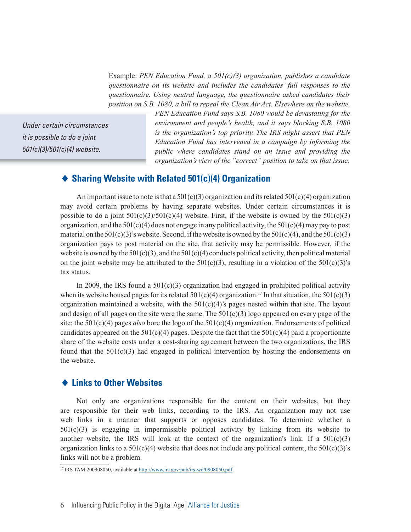Example: *PEN Education Fund, a 501(c)(3) organization, publishes a candidate questionnaire on its website and includes the candidates' full responses to the questionnaire. Using neutral language, the questionnaire asked candidates their position on S.B. 1080, a bill to repeal the Clean Air Act. Elsewhere on the website,* 

Under certain circumstances it is possible to do a joint 501(c)(3)/501(c)(4) website.

*PEN Education Fund says S.B. 1080 would be devastating for the environment and people's health, and it says blocking S.B. 1080 is the organization's top priority. The IRS might assert that PEN Education Fund has intervened in a campaign by informing the public where candidates stand on an issue and providing the organization's view of the "correct" position to take on that issue.*

#### - **Sharing Website with Related 501(c)(4) Organization**

An important issue to note is that a  $501(c)(3)$  organization and its related  $501(c)(4)$  organization may avoid certain problems by having separate websites. Under certain circumstances it is possible to do a joint  $501(c)(3)/501(c)(4)$  website. First, if the website is owned by the  $501(c)(3)$ organization, and the  $501(c)(4)$  does not engage in any political activity, the  $501(c)(4)$  may pay to post material on the  $501(c)(3)$ 's website. Second, if the website is owned by the  $501(c)(4)$ , and the  $501(c)(3)$ organization pays to post material on the site, that activity may be permissible. However, if the website is owned by the  $501(c)(3)$ , and the  $501(c)(4)$  conducts political activity, then political material on the joint website may be attributed to the  $501(c)(3)$ , resulting in a violation of the  $501(c)(3)$ 's tax status.

In 2009, the IRS found a  $501(c)(3)$  organization had engaged in prohibited political activity when its website housed pages for its related  $501(c)(4)$  organization.<sup>17</sup> In that situation, the  $501(c)(3)$ organization maintained a website, with the  $501(c)(4)$ 's pages nested within that site. The layout and design of all pages on the site were the same. The  $501(c)(3)$  logo appeared on every page of the site; the 501(c)(4) pages *also* bore the logo of the 501(c)(4) organization. Endorsements of political candidates appeared on the  $501(c)(4)$  pages. Despite the fact that the  $501(c)(4)$  paid a proportionate share of the website costs under a cost-sharing agreement between the two organizations, the IRS found that the  $501(c)(3)$  had engaged in political intervention by hosting the endorsements on the website.

#### ◆ Links to Other Websites

Not only are organizations responsible for the content on their websites, but they are responsible for their web links, according to the IRS. An organization may not use web links in a manner that supports or opposes candidates. To determine whether a  $501(c)(3)$  is engaging in impermissible political activity by linking from its website to another website, the IRS will look at the context of the organization's link. If a  $501(c)(3)$ organization links to a  $501(c)(4)$  website that does not include any political content, the  $501(c)(3)$ 's links will not be a problem.

<sup>&</sup>lt;sup>17</sup> IRS TAM 200908050, available at http://www.irs.gov/pub/irs-wd/0908050.pdf.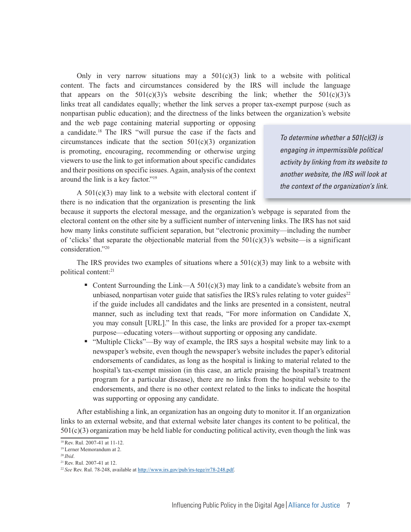Only in very narrow situations may a  $501(c)(3)$  link to a website with political content. The facts and circumstances considered by the IRS will include the language that appears on the  $501(c)(3)$ 's website describing the link; whether the  $501(c)(3)$ 's links treat all candidates equally; whether the link serves a proper tax-exempt purpose (such as nonpartisan public education); and the directness of the links between the organization's website

and the web page containing material supporting or opposing a candidate.18 The IRS "will pursue the case if the facts and circumstances indicate that the section  $501(c)(3)$  organization is promoting, encouraging, recommending or otherwise urging viewers to use the link to get information about specific candidates and their positions on specific issues. Again, analysis of the context around the link is a key factor."19

A  $501(c)(3)$  may link to a website with electoral content if there is no indication that the organization is presenting the link

To determine whether a 501(c)(3) is engaging in impermissible political activity by linking from its website to another website, the IRS will look at the context of the organization's link.

because it supports the electoral message, and the organization's webpage is separated from the electoral content on the other site by a sufficient number of intervening links. The IRS has not said how many links constitute sufficient separation, but "electronic proximity—including the number of 'clicks' that separate the objectionable material from the  $501(c)(3)$ 's website—is a significant consideration."20

The IRS provides two examples of situations where a  $501(c)(3)$  may link to a website with political content:21

- Content Surrounding the Link—A  $501(c)(3)$  may link to a candidate's website from an unbiased, nonpartisan voter guide that satisfies the IRS's rules relating to voter guides $2<sup>2</sup>$ if the guide includes all candidates and the links are presented in a consistent, neutral manner, such as including text that reads, "For more information on Candidate X, you may consult [URL]." In this case, the links are provided for a proper tax-exempt purpose—educating voters—without supporting or opposing any candidate.
- <sup>n</sup> "Multiple Clicks"—By way of example, the IRS says a hospital website may link to a newspaper's website, even though the newspaper's website includes the paper's editorial endorsements of candidates, as long as the hospital is linking to material related to the hospital's tax-exempt mission (in this case, an article praising the hospital's treatment program for a particular disease), there are no links from the hospital website to the endorsements, and there is no other context related to the links to indicate the hospital was supporting or opposing any candidate.

After establishing a link, an organization has an ongoing duty to monitor it. If an organization links to an external website, and that external website later changes its content to be political, the  $501(c)(3)$  organization may be held liable for conducting political activity, even though the link was

<sup>18</sup> Rev. Rul. 2007-41 at 11-12.

<sup>&</sup>lt;sup>19</sup> Lerner Memorandum at 2.<br><sup>20</sup> *Ibid.* 

<sup>&</sup>lt;sup>21</sup> Rev. Rul. 2007-41 at 12.

<sup>22</sup>*See* Rev. Rul. 78-248, available at http://www.irs.gov/pub/irs-tege/rr78-248.pdf.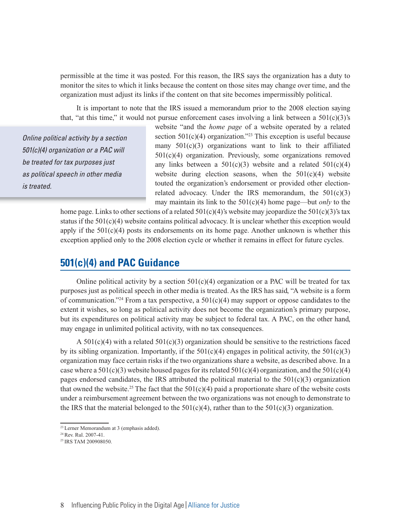permissible at the time it was posted. For this reason, the IRS says the organization has a duty to monitor the sites to which it links because the content on those sites may change over time, and the organization must adjust its links if the content on that site becomes impermissibly political.

It is important to note that the IRS issued a memorandum prior to the 2008 election saying that, "at this time," it would not pursue enforcement cases involving a link between a  $501(c)(3)$ 's

Online political activity by a section 501(c)(4) organization or a PAC will be treated for tax purposes just as political speech in other media is treated.

website "and the *home page* of a website operated by a related section  $501(c)(4)$  organization.<sup>223</sup> This exception is useful because many  $501(c)(3)$  organizations want to link to their affiliated 501(c)(4) organization. Previously, some organizations removed any links between a  $501(c)(3)$  website and a related  $501(c)(4)$ website during election seasons, when the  $501(c)(4)$  website touted the organization's endorsement or provided other electionrelated advocacy. Under the IRS memorandum, the  $501(c)(3)$ may maintain its link to the 501(c)(4) home page—but *only* to the

home page. Links to other sections of a related  $501(c)(4)$ 's website may jeopardize the  $501(c)(3)$ 's tax status if the 501(c)(4) website contains political advocacy. It is unclear whether this exception would apply if the  $501(c)(4)$  posts its endorsements on its home page. Another unknown is whether this exception applied only to the 2008 election cycle or whether it remains in effect for future cycles.

# **501(c)(4) and PAC Guidance**

Online political activity by a section  $501(c)(4)$  organization or a PAC will be treated for tax purposes just as political speech in other media is treated. As the IRS has said, "A website is a form of communication."<sup>24</sup> From a tax perspective, a  $501(c)(4)$  may support or oppose candidates to the extent it wishes, so long as political activity does not become the organization's primary purpose, but its expenditures on political activity may be subject to federal tax. A PAC, on the other hand, may engage in unlimited political activity, with no tax consequences.

A  $501(c)(4)$  with a related  $501(c)(3)$  organization should be sensitive to the restrictions faced by its sibling organization. Importantly, if the  $501(c)(4)$  engages in political activity, the  $501(c)(3)$ organization may face certain risks if the two organizations share a website, as described above. In a case where a  $501(c)(3)$  website housed pages for its related  $501(c)(4)$  organization, and the  $501(c)(4)$ pages endorsed candidates, the IRS attributed the political material to the  $501(c)(3)$  organization that owned the website.<sup>25</sup> The fact that the  $501(c)(4)$  paid a proportionate share of the website costs under a reimbursement agreement between the two organizations was not enough to demonstrate to the IRS that the material belonged to the  $501(c)(4)$ , rather than to the  $501(c)(3)$  organization.

<sup>&</sup>lt;sup>23</sup> Lerner Memorandum at 3 (emphasis added).

<sup>24</sup> Rev. Rul. 2007-41.

<sup>25</sup> IRS TAM 200908050.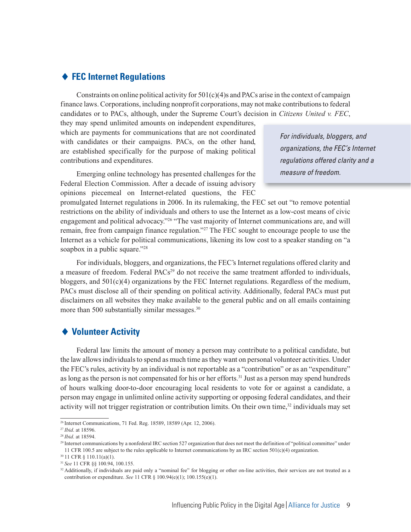#### - **FEC Internet Regulations**

Constraints on online political activity for  $501(c)(4)$ s and PACs arise in the context of campaign finance laws. Corporations, including nonprofit corporations, may not make contributions to federal candidates or to PACs, although, under the Supreme Court's decision in *Citizens United v. FEC*,

they may spend unlimited amounts on independent expenditures, which are payments for communications that are not coordinated with candidates or their campaigns. PACs, on the other hand, are established specifically for the purpose of making political contributions and expenditures.

Emerging online technology has presented challenges for the Federal Election Commission. After a decade of issuing advisory opinions piecemeal on Internet-related questions, the FEC

promulgated Internet regulations in 2006. In its rulemaking, the FEC set out "to remove potential restrictions on the ability of individuals and others to use the Internet as a low-cost means of civic engagement and political advocacy."26 "The vast majority of Internet communications are, and will remain, free from campaign finance regulation."27 The FEC sought to encourage people to use the Internet as a vehicle for political communications, likening its low cost to a speaker standing on "a soapbox in a public square."<sup>28</sup>

For individuals, bloggers, and organizations, the FEC's Internet regulations offered clarity and a measure of freedom. Federal PACs<sup>29</sup> do not receive the same treatment afforded to individuals, bloggers, and  $501(c)(4)$  organizations by the FEC Internet regulations. Regardless of the medium, PACs must disclose all of their spending on political activity. Additionally, federal PACs must put disclaimers on all websites they make available to the general public and on all emails containing more than 500 substantially similar messages.<sup>30</sup>

#### - **Volunteer Activity**

Federal law limits the amount of money a person may contribute to a political candidate, but the law allows individuals to spend as much time as they want on personal volunteer activities. Under the FEC's rules, activity by an individual is not reportable as a "contribution" or as an "expenditure" as long as the person is not compensated for his or her efforts.<sup>31</sup> Just as a person may spend hundreds of hours walking door-to-door encouraging local residents to vote for or against a candidate, a person may engage in unlimited online activity supporting or opposing federal candidates, and their activity will not trigger registration or contribution limits. On their own time,<sup>32</sup> individuals may set

For individuals, bloggers, and organizations, the FEC's Internet regulations offered clarity and a measure of freedom.

<sup>26</sup> Internet Communications, 71 Fed. Reg. 18589, 18589 (Apr. 12, 2006).

<sup>27</sup>*Ibid*. at 18596.

<sup>28</sup>*Ibid*. at 18594.

<sup>29</sup> Internet communications by a nonfederal IRC section 527 organization that does not meet the definition of "political committee" under 11 CFR 100.5 are subject to the rules applicable to Internet communications by an IRC section 501(c)(4) organization.

<sup>30 11</sup> CFR § 110.11(a)(1).

<sup>31</sup>*See* 11 CFR §§ 100.94, 100.155.

<sup>&</sup>lt;sup>32</sup> Additionally, if individuals are paid only a "nominal fee" for blogging or other on-line activities, their services are not treated as a contribution or expenditure. *See* 11 CFR § 100.94(e)(1); 100.155(e)(1).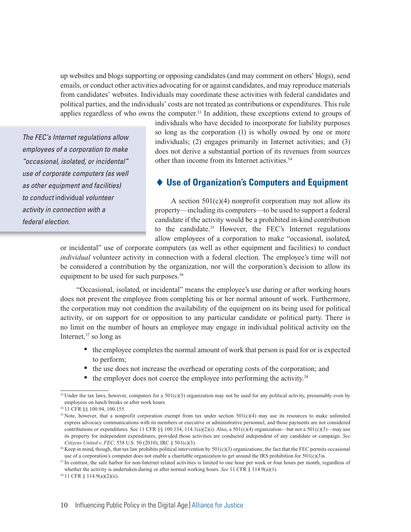up websites and blogs supporting or opposing candidates (and may comment on others' blogs), send emails, or conduct other activities advocating for or against candidates, and may reproduce materials from candidates' websites. Individuals may coordinate these activities with federal candidates and political parties, and the individuals' costs are not treated as contributions or expenditures. This rule applies regardless of who owns the computer.<sup>33</sup> In addition, these exceptions extend to groups of

The FEC's Internet regulations allow employees of a corporation to make "occasional, isolated, or incidental" use of corporate computers (as well as other equipment and facilities) to conduct individual volunteer activity in connection with a federal election.

individuals who have decided to incorporate for liability purposes so long as the corporation (1) is wholly owned by one or more individuals; (2) engages primarily in Internet activities; and (3) does not derive a substantial portion of its revenues from sources other than income from its Internet activities.34

#### - **Use of Organization's Computers and Equipment**

A section  $501(c)(4)$  nonprofit corporation may not allow its property—including its computers—to be used to support a federal candidate if the activity would be a prohibited in-kind contribution to the candidate.35 However, the FEC's Internet regulations allow employees of a corporation to make "occasional, isolated,

or incidental" use of corporate computers (as well as other equipment and facilities) to conduct *individual* volunteer activity in connection with a federal election. The employee's time will not be considered a contribution by the organization, nor will the corporation's decision to allow its equipment to be used for such purposes.<sup>36</sup>

"Occasional, isolated, or incidental" means the employee's use during or after working hours does not prevent the employee from completing his or her normal amount of work. Furthermore, the corporation may not condition the availability of the equipment on its being used for political activity, or on support for or opposition to any particular candidate or political party. There is no limit on the number of hours an employee may engage in individual political activity on the Internet, $37$  so long as

- <sup>n</sup> the employee completes the normal amount of work that person is paid for or is expected to perform;
- n the use does not increase the overhead or operating costs of the corporation; and
- $\blacksquare$  the employer does not coerce the employee into performing the activity.<sup>38</sup>

<sup>&</sup>lt;sup>33</sup> Under the tax laws, however, computers for a  $501(c)(3)$  organization may not be used for any political activity, presumably even by employees on lunch breaks or after work hours.

<sup>34 11</sup> CFR §§ 100.94, 100.155.

<sup>&</sup>lt;sup>35</sup> Note, however, that a nonprofit corporation exempt from tax under section  $501(c)(4)$  may use its resources to make unlimited express advocacy communications with its members or executive or administrative personnel, and those payments are not considered contributions or expenditures. See 11 CFR §§ 100.134, 114.1(a)(2)(i). Also, a 501(c)(4) organization—but not a 501(c)(3)—may use its property for independent expenditures, provided those activities are conducted independent of any candidate or campaign. *See Citizens United v. FEC*, 558 U.S. 50 (2010); IRC § 501(c)(3).

<sup>&</sup>lt;sup>36</sup> Keep in mind, though, that tax law prohibits political intervention by 501(c)(3) organizations; the fact that the FEC permits occasional use of a corporation's computer does not enable a charitable organization to get around the IRS prohibition for 501(c)(3)s.

<sup>&</sup>lt;sup>37</sup> In contrast, the safe harbor for non-Internet related activities is limited to one hour per week or four hours per month, regardless of whether the activity is undertaken during or after normal working hours. *See* 11 CFR § 114.9(a)(1).

<sup>38 11</sup> CFR § 114.9(a)(2)(ii).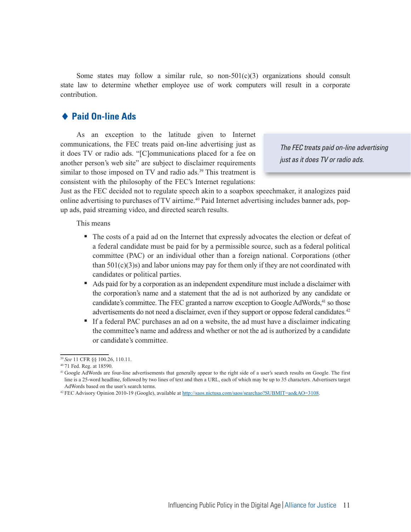Some states may follow a similar rule, so non- $501(c)(3)$  organizations should consult state law to determine whether employee use of work computers will result in a corporate contribution.

#### ◆ Paid On-line Ads

As an exception to the latitude given to Internet communications, the FEC treats paid on-line advertising just as it does TV or radio ads. "[C]ommunications placed for a fee on another person's web site" are subject to disclaimer requirements similar to those imposed on TV and radio ads.<sup>39</sup> This treatment is consistent with the philosophy of the FEC's Internet regulations:

The FEC treats paid on-line advertising just as it does TV or radio ads.

Just as the FEC decided not to regulate speech akin to a soapbox speechmaker, it analogizes paid online advertising to purchases of TV airtime.<sup>40</sup> Paid Internet advertising includes banner ads, popup ads, paid streaming video, and directed search results.

This means

- <sup>n</sup> The costs of a paid ad on the Internet that expressly advocates the election or defeat of a federal candidate must be paid for by a permissible source, such as a federal political committee (PAC) or an individual other than a foreign national. Corporations (other than  $501(c)(3)$ s) and labor unions may pay for them only if they are not coordinated with candidates or political parties.
- <sup>n</sup> Ads paid for by a corporation as an independent expenditure must include a disclaimer with the corporation's name and a statement that the ad is not authorized by any candidate or candidate's committee. The FEC granted a narrow exception to Google AdWords,<sup>41</sup> so those advertisements do not need a disclaimer, even if they support or oppose federal candidates.<sup>42</sup>
- <sup>n</sup> If a federal PAC purchases an ad on a website, the ad must have a disclaimer indicating the committee's name and address and whether or not the ad is authorized by a candidate or candidate's committee.

<sup>39</sup>*See* 11 CFR §§ 100.26, 110.11.

<sup>40 71</sup> Fed. Reg. at 18590.

<sup>&</sup>lt;sup>41</sup> Google AdWords are four-line advertisements that generally appear to the right side of a user's search results on Google. The first line is a 25-word headline, followed by two lines of text and then a URL, each of which may be up to 35 characters. Advertisers target AdWords based on the user's search terms.

<sup>42</sup> FEC Advisory Opinion 2010-19 (Google), available at http://saos.nictusa.com/saos/searchao?SUBMIT=ao&AO=3108.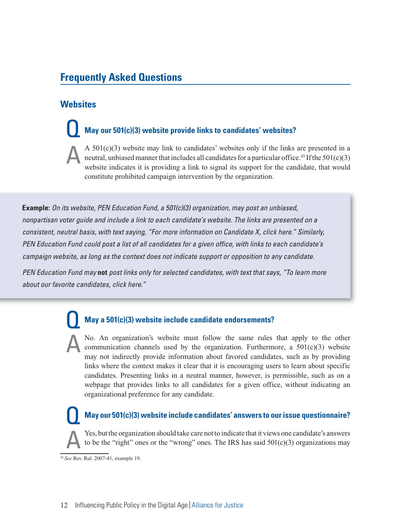# **Frequently Asked Questions**

# **Websites**

# **May our 501(c)(3) website provide links to candidates' websites?**

A  $501(c)(3)$  website may link to candidates' websites only if the links are presented in a neutral, unbiased manner that includes all candidates for a particular office.<sup>43</sup> If the 501(c)(3) website indicates it is providing a link to signal its support for the candidate, that would constitute prohibited campaign intervention by the organization.

**Example:** On its website, PEN Education Fund, a 501(c)(3) organization, may post an unbiased, nonpartisan voter guide and include a link to each candidate's website. The links are presented on a consistent, neutral basis, with text saying, "For more information on Candidate X, click here." Similarly, PEN Education Fund could post a list of all candidates for a given office, with links to each candidate's campaign website, as long as the context does not indicate support or opposition to any candidate.

PEN Education Fund may **not** post links only for selected candidates, with text that says, "To learn more about our favorite candidates, click here."

# **May a 501(c)(3) website include candidate endorsements?**

No. An organization's website must follow the same rules that apply to the other communication channels used by the organization. Furthermore, a  $501(c)(3)$  website may not indirectly provide information about favored candidates, such as by providing links where the context makes it clear that it is encouraging users to learn about specific candidates. Presenting links in a neutral manner, however, is permissible, such as on a webpage that provides links to all candidates for a given office, without indicating an organizational preference for any candidate.

#### **May our 501(c)(3) website include candidates' answers to our issue questionnaire?**

Yes, but the organization should take care not to indicate that it views one candidate's answers to be the "right" ones or the "wrong" ones. The IRS has said  $501(c)(3)$  organizations may

<sup>43</sup>*See* Rev. Rul. 2007-41, example 19.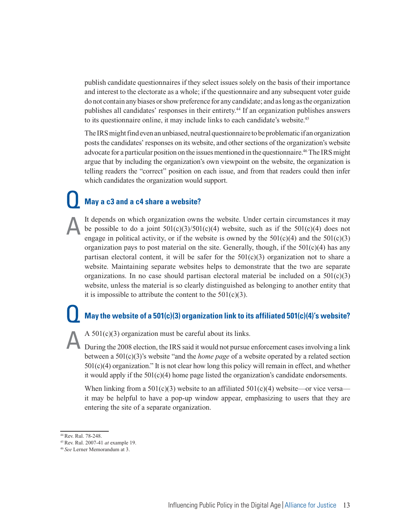publish candidate questionnaires if they select issues solely on the basis of their importance and interest to the electorate as a whole; if the questionnaire and any subsequent voter guide do not contain any biases or show preference for any candidate; and as long as the organization publishes all candidates' responses in their entirety.<sup>44</sup> If an organization publishes answers to its questionnaire online, it may include links to each candidate's website.<sup>45</sup>

The IRS might find even an unbiased, neutral questionnaire to be problematic if an organization posts the candidates' responses on its website, and other sections of the organization's website advocate for a particular position on the issues mentioned in the questionnaire.<sup>46</sup> The IRS might argue that by including the organization's own viewpoint on the website, the organization is telling readers the "correct" position on each issue, and from that readers could then infer which candidates the organization would support.

# **May a c3 and a c4 share a website?**

It depends on which organization owns the website. Under certain circumstances it may be possible to do a joint  $501(c)(3)/501(c)(4)$  website, such as if the  $501(c)(4)$  does not engage in political activity, or if the website is owned by the  $501(c)(4)$  and the  $501(c)(3)$ organization pays to post material on the site. Generally, though, if the  $501(c)(4)$  has any partisan electoral content, it will be safer for the  $501(c)(3)$  organization not to share a website. Maintaining separate websites helps to demonstrate that the two are separate organizations. In no case should partisan electoral material be included on a  $501(c)(3)$ website, unless the material is so clearly distinguished as belonging to another entity that it is impossible to attribute the content to the  $501(c)(3)$ .

# **May the website of a 501(c)(3) organization link to its affiliated 501(c)(4)'s website?**

A 501(c)(3) organization must be careful about its links.

During the 2008 election, the IRS said it would not pursue enforcement cases involving a link between a 501(c)(3)'s website "and the *home page* of a website operated by a related section 501(c)(4) organization." It is not clear how long this policy will remain in effect, and whether it would apply if the  $501(c)(4)$  home page listed the organization's candidate endorsements.

When linking from a  $501(c)(3)$  website to an affiliated  $501(c)(4)$  website—or vice versa it may be helpful to have a pop-up window appear, emphasizing to users that they are entering the site of a separate organization.

<sup>44</sup> Rev. Rul. 78-248.

<sup>45</sup> Rev. Rul. 2007-41 *at* example 19.

<sup>46</sup> *See* Lerner Memorandum at 3.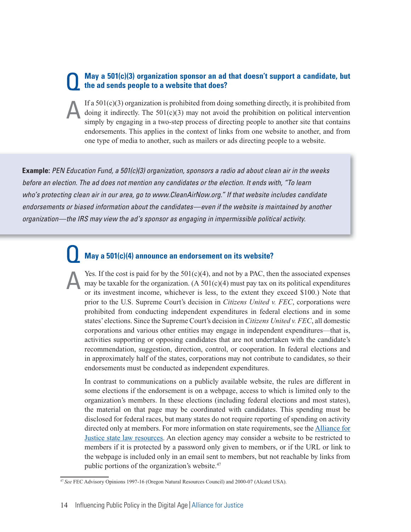#### **May a 501(c)(3) organization sponsor an ad that doesn't support a candidate, but the ad sends people to a website that does?**

If a 501(c)(3) organization is prohibited from doing something directly, it is prohibited from doing it indirectly. The  $501(c)(3)$  may not avoid the prohibition on political intervention simply by engaging in a two-step process of directing people to another site that contains endorsements. This applies in the context of links from one website to another, and from one type of media to another, such as mailers or ads directing people to a website.

**Example:** PEN Education Fund, a 501(c)(3) organization, sponsors a radio ad about clean air in the weeks before an election. The ad does not mention any candidates or the election. It ends with, "To learn who's protecting clean air in our area, go to www.CleanAirNow.org." If that website includes candidate endorsements or biased information about the candidates—even if the website is maintained by another organization—the IRS may view the ad's sponsor as engaging in impermissible political activity.

# **May a 501(c)(4) announce an endorsement on its website?**

Yes. If the cost is paid for by the  $501(c)(4)$ , and not by a PAC, then the associated expenses may be taxable for the organization. (A  $501(c)(4)$  must pay tax on its political expenditures or its investment income, whichever is less, to the extent they exceed \$100.) Note that prior to the U.S. Supreme Court's decision in *Citizens United v. FEC*, corporations were prohibited from conducting independent expenditures in federal elections and in some states' elections. Since the Supreme Court's decision in *Citizens United v. FEC*, all domestic corporations and various other entities may engage in independent expenditures—that is, activities supporting or opposing candidates that are not undertaken with the candidate's recommendation, suggestion, direction, control, or cooperation. In federal elections and in approximately half of the states, corporations may not contribute to candidates, so their endorsements must be conducted as independent expenditures.

In contrast to communications on a publicly available website, the rules are different in some elections if the endorsement is on a webpage, access to which is limited only to the organization's members. In these elections (including federal elections and most states), the material on that page may be coordinated with candidates. This spending must be disclosed for federal races, but many states do not require reporting of spending on activity directed only at members. For more information on state requirements, see the **Alliance** for Justice state law resources. An election agency may consider a website to be restricted to members if it is protected by a password only given to members, or if the URL or link to the webpage is included only in an email sent to members, but not reachable by links from public portions of the organization's website.<sup>47</sup>

<sup>47</sup>*See* FEC Advisory Opinions 1997-16 (Oregon Natural Resources Council) and 2000-07 (Alcatel USA).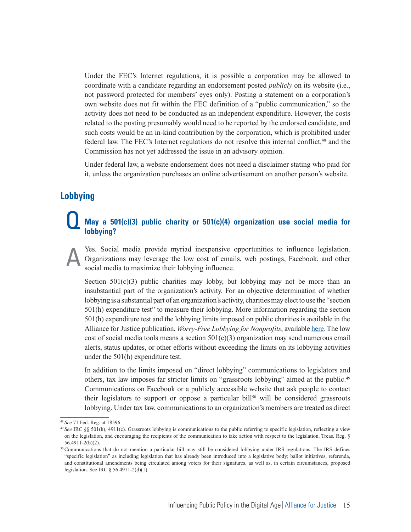Under the FEC's Internet regulations, it is possible a corporation may be allowed to coordinate with a candidate regarding an endorsement posted *publicly* on its website (i.e., not password protected for members' eyes only). Posting a statement on a corporation's own website does not fit within the FEC definition of a "public communication," so the activity does not need to be conducted as an independent expenditure. However, the costs related to the posting presumably would need to be reported by the endorsed candidate, and such costs would be an in-kind contribution by the corporation, which is prohibited under federal law. The FEC's Internet regulations do not resolve this internal conflict,<sup>48</sup> and the Commission has not yet addressed the issue in an advisory opinion.

Under federal law, a website endorsement does not need a disclaimer stating who paid for it, unless the organization purchases an online advertisement on another person's website.

## **Lobbying**

#### **May a 501(c)(3) public charity or 501(c)(4) organization use social media for lobbying?**

Yes. Social media provide myriad inexpensive opportunities to influence legislation. Organizations may leverage the low cost of emails, web postings, Facebook, and other social media to maximize their lobbying influence.

Section  $501(c)(3)$  public charities may lobby, but lobbying may not be more than an insubstantial part of the organization's activity. For an objective determination of whether lobbying is a substantial part of an organization's activity, charities may elect to use the "section 501(h) expenditure test" to measure their lobbying. More information regarding the section 501(h) expenditure test and the lobbying limits imposed on public charities is available in the Alliance for Justice publication, *Worry-Free Lobbying for Nonprofits*, available here. The low cost of social media tools means a section  $501(c)(3)$  organization may send numerous email alerts, status updates, or other efforts without exceeding the limits on its lobbying activities under the 501(h) expenditure test.

In addition to the limits imposed on "direct lobbying" communications to legislators and others, tax law imposes far stricter limits on "grassroots lobbying" aimed at the public.49 Communications on Facebook or a publicly accessible website that ask people to contact their legislators to support or oppose a particular bill<sup>50</sup> will be considered grassroots lobbying. Under tax law, communications to an organization's members are treated as direct

<sup>48</sup>*See* 71 Fed. Reg. at 18596.

<sup>49</sup>*See* IRC §§ 501(h), 4911(c). Grassroots lobbying is communications to the public referring to specific legislation, reflecting a view on the legislation, and encouraging the recipients of the communication to take action with respect to the legislation. Treas. Reg. § 56.4911-2(b)(2).

<sup>50</sup> Communications that do not mention a particular bill may still be considered lobbying under IRS regulations. The IRS defines "specific legislation" as including legislation that has already been introduced into a legislative body; ballot initiatives, referenda, and constitutional amendments being circulated among voters for their signatures, as well as, in certain circumstances, proposed legislation. See IRC § 56.4911-2(d)(1).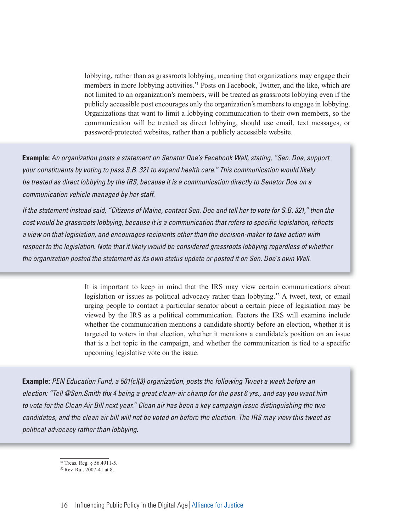lobbying, rather than as grassroots lobbying, meaning that organizations may engage their members in more lobbying activities.<sup>51</sup> Posts on Facebook, Twitter, and the like, which are not limited to an organization's members, will be treated as grassroots lobbying even if the publicly accessible post encourages only the organization's members to engage in lobbying. Organizations that want to limit a lobbying communication to their own members, so the communication will be treated as direct lobbying, should use email, text messages, or password-protected websites, rather than a publicly accessible website.

**Example:** An organization posts a statement on Senator Doe's Facebook Wall, stating, "Sen. Doe, support your constituents by voting to pass S.B. 321 to expand health care." This communication would likely be treated as direct lobbying by the IRS, because it is a communication directly to Senator Doe on a communication vehicle managed by her staff.

If the statement instead said, "Citizens of Maine, contact Sen. Doe and tell her to vote for S.B. 321," then the cost would be grassroots lobbying, because it is a communication that refers to specific legislation, reflects a view on that legislation, and encourages recipients other than the decision-maker to take action with respect to the legislation. Note that it likely would be considered grassroots lobbying regardless of whether the organization posted the statement as its own status update or posted it on Sen. Doe's own Wall.

> It is important to keep in mind that the IRS may view certain communications about legislation or issues as political advocacy rather than lobbying.<sup>52</sup> A tweet, text, or email urging people to contact a particular senator about a certain piece of legislation may be viewed by the IRS as a political communication. Factors the IRS will examine include whether the communication mentions a candidate shortly before an election, whether it is targeted to voters in that election, whether it mentions a candidate's position on an issue that is a hot topic in the campaign, and whether the communication is tied to a specific upcoming legislative vote on the issue.

**Example:** PEN Education Fund, a 501(c)(3) organization, posts the following Tweet a week before an election: "Tell @Sen.Smith thx 4 being a great clean-air champ for the past 6 yrs., and say you want him to vote for the Clean Air Bill next year." Clean air has been a key campaign issue distinguishing the two candidates, and the clean air bill will not be voted on before the election. The IRS may view this tweet as political advocacy rather than lobbying.

<sup>51</sup> Treas. Reg. § 56.4911-5.

<sup>52</sup> Rev. Rul. 2007-41 at 8.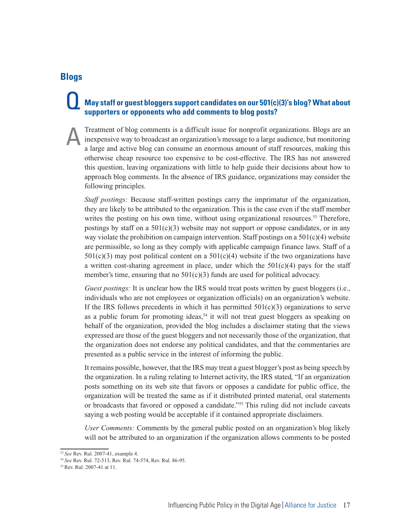#### **Blogs**

## **May staff or guest bloggers support candidates on our 501(c)(3)'s blog? What about supporters or opponents who add comments to blog posts?**

Treatment of blog comments is a difficult issue for nonprofit organizations. Blogs are an inexpensive way to broadcast an organization's message to a large audience, but monitoring a large and active blog can consume an enormous amount of staff resources, making this otherwise cheap resource too expensive to be cost-effective. The IRS has not answered this question, leaving organizations with little to help guide their decisions about how to approach blog comments. In the absence of IRS guidance, organizations may consider the following principles.

*Staff postings:* Because staff-written postings carry the imprimatur of the organization, they are likely to be attributed to the organization. This is the case even if the staff member writes the posting on his own time, without using organizational resources.<sup>53</sup> Therefore, postings by staff on a  $501(c)(3)$  website may not support or oppose candidates, or in any way violate the prohibition on campaign intervention. Staff postings on a  $501(c)(4)$  website are permissible, so long as they comply with applicable campaign finance laws. Staff of a  $501(c)(3)$  may post political content on a  $501(c)(4)$  website if the two organizations have a written cost-sharing agreement in place, under which the  $501(c)(4)$  pays for the staff member's time, ensuring that no  $501(c)(3)$  funds are used for political advocacy.

*Guest postings:* It is unclear how the IRS would treat posts written by guest bloggers (i.e., individuals who are not employees or organization officials) on an organization's website. If the IRS follows precedents in which it has permitted  $501(c)(3)$  organizations to serve as a public forum for promoting ideas,<sup>54</sup> it will not treat guest bloggers as speaking on behalf of the organization, provided the blog includes a disclaimer stating that the views expressed are those of the guest bloggers and not necessarily those of the organization, that the organization does not endorse any political candidates, and that the commentaries are presented as a public service in the interest of informing the public.

It remains possible, however, that the IRS may treat a guest blogger's post as being speech by the organization. In a ruling relating to Internet activity, the IRS stated, "If an organization posts something on its web site that favors or opposes a candidate for public office, the organization will be treated the same as if it distributed printed material, oral statements or broadcasts that favored or opposed a candidate."<sup>55</sup> This ruling did not include caveats saying a web posting would be acceptable if it contained appropriate disclaimers.

*User Comments:* Comments by the general public posted on an organization's blog likely will not be attributed to an organization if the organization allows comments to be posted

<sup>53</sup>*See* Rev. Rul. 2007-41, example 4.

<sup>54</sup>*See* Rev. Rul. 72-513, Rev. Rul. 74-574, Rev. Rul. 86-95.

<sup>55</sup> Rev. Rul. 2007-41 at 11.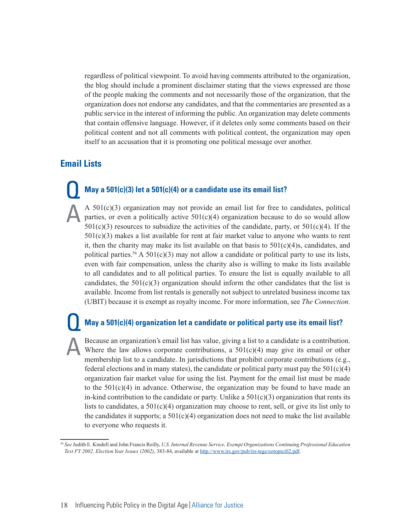regardless of political viewpoint. To avoid having comments attributed to the organization, the blog should include a prominent disclaimer stating that the views expressed are those of the people making the comments and not necessarily those of the organization, that the organization does not endorse any candidates, and that the commentaries are presented as a public service in the interest of informing the public. An organization may delete comments that contain offensive language. However, if it deletes only some comments based on their political content and not all comments with political content, the organization may open itself to an accusation that it is promoting one political message over another.

# **Email Lists**

# **May a 501(c)(3) let a 501(c)(4) or a candidate use its email list?**

A  $501(c)(3)$  organization may not provide an email list for free to candidates, political parties, or even a politically active  $501(c)(4)$  organization because to do so would allow  $501(c)(3)$  resources to subsidize the activities of the candidate, party, or  $501(c)(4)$ . If the  $501(c)(3)$  makes a list available for rent at fair market value to anyone who wants to rent it, then the charity may make its list available on that basis to  $501(c)(4)$ s, candidates, and political parties.<sup>56</sup> A  $501(c)(3)$  may not allow a candidate or political party to use its lists, even with fair compensation, unless the charity also is willing to make its lists available to all candidates and to all political parties. To ensure the list is equally available to all candidates, the  $501(c)(3)$  organization should inform the other candidates that the list is available. Income from list rentals is generally not subject to unrelated business income tax (UBIT) because it is exempt as royalty income. For more information, see *The Connection*.

#### **May a 501(c)(4) organization let a candidate or political party use its email list?**

Because an organization's email list has value, giving a list to a candidate is a contribution. Where the law allows corporate contributions, a  $501(c)(4)$  may give its email or other membership list to a candidate. In jurisdictions that prohibit corporate contributions (e.g., federal elections and in many states), the candidate or political party must pay the  $501(c)(4)$ organization fair market value for using the list. Payment for the email list must be made to the  $501(c)(4)$  in advance. Otherwise, the organization may be found to have made an in-kind contribution to the candidate or party. Unlike a  $501(c)(3)$  organization that rents its lists to candidates, a 501(c)(4) organization may choose to rent, sell, or give its list only to the candidates it supports; a  $501(c)(4)$  organization does not need to make the list available to everyone who requests it.

<sup>56</sup>*See* Judith E. Kindell and John Francis Reilly, *U.S. Internal Revenue Service, Exempt Organizations Continuing Professional Education Text FY 2002, Election Year Issues (2002)*, 383-84, available at http://www.irs.gov/pub/irs-tege/eotopici02.pdf.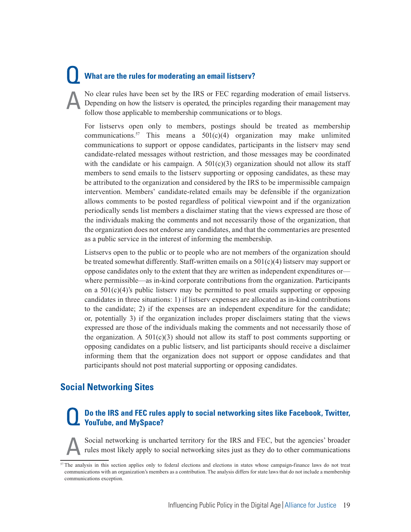# **What are the rules for moderating an email listserv?**

No clear rules have been set by the IRS or FEC regarding moderation of email listservs. Depending on how the listserv is operated, the principles regarding their management may follow those applicable to membership communications or to blogs.

For listservs open only to members, postings should be treated as membership communications.<sup>57</sup> This means a  $501(c)(4)$  organization may make unlimited communications to support or oppose candidates, participants in the listserv may send candidate-related messages without restriction, and those messages may be coordinated with the candidate or his campaign. A  $501(c)(3)$  organization should not allow its staff members to send emails to the listserv supporting or opposing candidates, as these may be attributed to the organization and considered by the IRS to be impermissible campaign intervention. Members' candidate-related emails may be defensible if the organization allows comments to be posted regardless of political viewpoint and if the organization periodically sends list members a disclaimer stating that the views expressed are those of the individuals making the comments and not necessarily those of the organization, that the organization does not endorse any candidates, and that the commentaries are presented as a public service in the interest of informing the membership.

Listservs open to the public or to people who are not members of the organization should be treated somewhat differently. Staff-written emails on a 501(c)(4) listserv may support or oppose candidates only to the extent that they are written as independent expenditures or where permissible—as in-kind corporate contributions from the organization. Participants on a  $501(c)(4)$ 's public listserv may be permitted to post emails supporting or opposing candidates in three situations: 1) if listserv expenses are allocated as in-kind contributions to the candidate; 2) if the expenses are an independent expenditure for the candidate; or, potentially 3) if the organization includes proper disclaimers stating that the views expressed are those of the individuals making the comments and not necessarily those of the organization. A  $501(c)(3)$  should not allow its staff to post comments supporting or opposing candidates on a public listserv, and list participants should receive a disclaimer informing them that the organization does not support or oppose candidates and that participants should not post material supporting or opposing candidates.

# **Social Networking Sites**

#### **Do the IRS and FEC rules apply to social networking sites like Facebook, Twitter, YouTube, and MySpace?**

Social networking is uncharted territory for the IRS and FEC, but the agencies' broader rules most likely apply to social networking sites just as they do to other communications

<sup>&</sup>lt;sup>57</sup> The analysis in this section applies only to federal elections and elections in states whose campaign-finance laws do not treat communications with an organization's members as a contribution. The analysis differs for state laws that do not include a membership communications exception.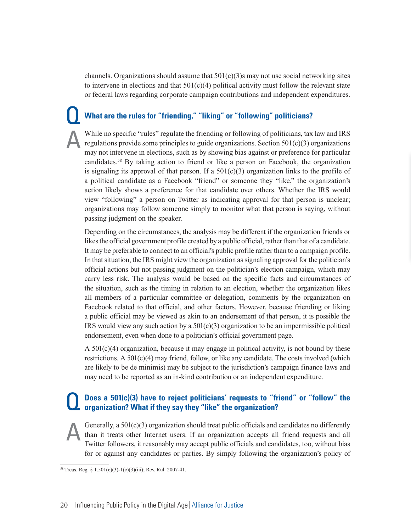channels. Organizations should assume that  $501(c)(3)$ s may not use social networking sites to intervene in elections and that  $501(c)(4)$  political activity must follow the relevant state or federal laws regarding corporate campaign contributions and independent expenditures.

#### **What are the rules for "friending," "liking" or "following" politicians?**

While no specific "rules" regulate the friending or following of politicians, tax law and IRS regulations provide some principles to guide organizations. Section  $501(c)(3)$  organizations may not intervene in elections, such as by showing bias against or preference for particular candidates.58 By taking action to friend or like a person on Facebook, the organization is signaling its approval of that person. If a  $501(c)(3)$  organization links to the profile of a political candidate as a Facebook "friend" or someone they "like," the organization's action likely shows a preference for that candidate over others. Whether the IRS would view "following" a person on Twitter as indicating approval for that person is unclear; organizations may follow someone simply to monitor what that person is saying, without passing judgment on the speaker.

Depending on the circumstances, the analysis may be different if the organization friends or likes the official government profile created by a public official, rather than that of a candidate. It may be preferable to connect to an official's public profile rather than to a campaign profile. In that situation, the IRS might view the organization as signaling approval for the politician's official actions but not passing judgment on the politician's election campaign, which may carry less risk. The analysis would be based on the specific facts and circumstances of the situation, such as the timing in relation to an election, whether the organization likes all members of a particular committee or delegation, comments by the organization on Facebook related to that official, and other factors. However, because friending or liking a public official may be viewed as akin to an endorsement of that person, it is possible the IRS would view any such action by a 501(c)(3) organization to be an impermissible political endorsement, even when done to a politician's official government page.

A 501(c)(4) organization, because it may engage in political activity, is not bound by these restrictions. A  $501(c)(4)$  may friend, follow, or like any candidate. The costs involved (which are likely to be de minimis) may be subject to the jurisdiction's campaign finance laws and may need to be reported as an in-kind contribution or an independent expenditure.

#### **Does a 501(c)(3) have to reject politicians' requests to "friend" or "follow" the organization? What if they say they "like" the organization?**

Generally, a  $501(c)(3)$  organization should treat public officials and candidates no differently than it treats other Internet users. If an organization accepts all friend requests and all Twitter followers, it reasonably may accept public officials and candidates, too, without bias for or against any candidates or parties. By simply following the organization's policy of

<sup>&</sup>lt;sup>58</sup> Treas. Reg. § 1.501(c)(3)-1(c)(3)(iii); Rev. Rul. 2007-41.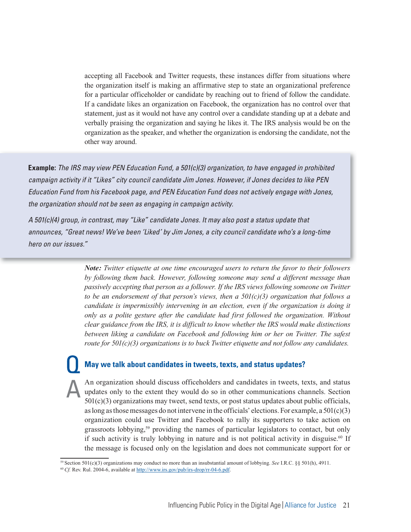accepting all Facebook and Twitter requests, these instances differ from situations where the organization itself is making an affirmative step to state an organizational preference for a particular officeholder or candidate by reaching out to friend of follow the candidate. If a candidate likes an organization on Facebook, the organization has no control over that statement, just as it would not have any control over a candidate standing up at a debate and verbally praising the organization and saying he likes it. The IRS analysis would be on the organization as the speaker, and whether the organization is endorsing the candidate, not the other way around.

**Example:** The IRS may view PEN Education Fund, a 501(c)(3) organization, to have engaged in prohibited campaign activity if it "Likes" city council candidate Jim Jones. However, if Jones decides to like PEN Education Fund from his Facebook page, and PEN Education Fund does not actively engage with Jones, the organization should not be seen as engaging in campaign activity.

A 501(c)(4) group, in contrast, may "Like" candidate Jones. It may also post a status update that announces, "Great news! We've been 'Liked' by Jim Jones, a city council candidate who's a long-time hero on our issues."

> *Note: Twitter etiquette at one time encouraged users to return the favor to their followers by following them back. However, following someone may send a different message than passively accepting that person as a follower. If the IRS views following someone on Twitter to be an endorsement of that person's views, then a 501(c)(3) organization that follows a candidate is impermissibly intervening in an election, even if the organization is doing it only as a polite gesture after the candidate had first followed the organization. Without clear guidance from the IRS, it is difficult to know whether the IRS would make distinctions between liking a candidate on Facebook and following him or her on Twitter. The safest route for 501(c)(3) organizations is to buck Twitter etiquette and not follow any candidates.*

#### **May we talk about candidates in tweets, texts, and status updates?**

An organization should discuss officeholders and candidates in tweets, texts, and status updates only to the extent they would do so in other communications channels. Section  $501(c)(3)$  organizations may tweet, send texts, or post status updates about public officials, as long as those messages do not intervene in the officials' elections. For example, a  $501(c)(3)$ organization could use Twitter and Facebook to rally its supporters to take action on grassroots lobbying,59 providing the names of particular legislators to contact, but only if such activity is truly lobbying in nature and is not political activity in disguise.<sup>60</sup> If the message is focused only on the legislation and does not communicate support for or

<sup>59</sup> Section 501(c)(3) organizations may conduct no more than an insubstantial amount of lobbying. *See* I.R.C. §§ 501(h), 4911.

<sup>60</sup>*Cf.* Rev. Rul. 2004-6, available at http://www.irs.gov/pub/irs-drop/rr-04-6.pdf.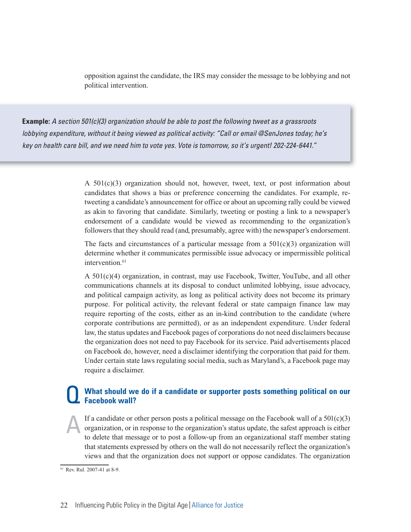opposition against the candidate, the IRS may consider the message to be lobbying and not political intervention.

**Example:** A section 501(c)(3) organization should be able to post the following tweet as a grassroots lobbying expenditure, without it being viewed as political activity: "Call or email @SenJones today; he's key on health care bill, and we need him to vote yes. Vote is tomorrow, so it's urgent! 202-224-6441."

> A  $501(c)(3)$  organization should not, however, tweet, text, or post information about candidates that shows a bias or preference concerning the candidates. For example, retweeting a candidate's announcement for office or about an upcoming rally could be viewed as akin to favoring that candidate. Similarly, tweeting or posting a link to a newspaper's endorsement of a candidate would be viewed as recommending to the organization's followers that they should read (and, presumably, agree with) the newspaper's endorsement.

> The facts and circumstances of a particular message from a  $501(c)(3)$  organization will determine whether it communicates permissible issue advocacy or impermissible political intervention.<sup>61</sup>

> A 501(c)(4) organization, in contrast, may use Facebook, Twitter, YouTube, and all other communications channels at its disposal to conduct unlimited lobbying, issue advocacy, and political campaign activity, as long as political activity does not become its primary purpose. For political activity, the relevant federal or state campaign finance law may require reporting of the costs, either as an in-kind contribution to the candidate (where corporate contributions are permitted), or as an independent expenditure. Under federal law, the status updates and Facebook pages of corporations do not need disclaimers because the organization does not need to pay Facebook for its service. Paid advertisements placed on Facebook do, however, need a disclaimer identifying the corporation that paid for them. Under certain state laws regulating social media, such as Maryland's, a Facebook page may require a disclaimer.

#### **What should we do if a candidate or supporter posts something political on our Facebook wall?**

If a candidate or other person posts a political message on the Facebook wall of a  $501(c)(3)$ organization, or in response to the organization's status update, the safest approach is either to delete that message or to post a follow-up from an organizational staff member stating that statements expressed by others on the wall do not necessarily reflect the organization's views and that the organization does not support or oppose candidates. The organization

 $\frac{61}{61}$  Rev. Rul. 2007-41 at 8-9.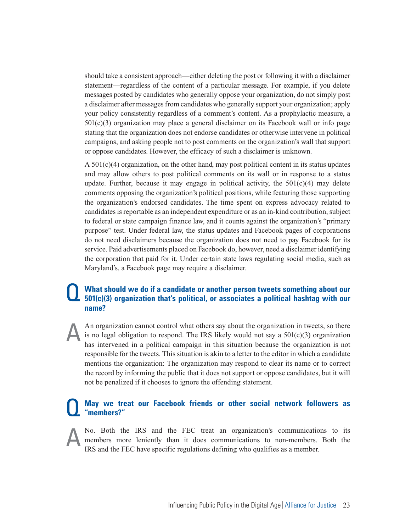should take a consistent approach—either deleting the post or following it with a disclaimer statement—regardless of the content of a particular message. For example, if you delete messages posted by candidates who generally oppose your organization, do not simply post a disclaimer after messages from candidates who generally support your organization; apply your policy consistently regardless of a comment's content. As a prophylactic measure, a 501(c)(3) organization may place a general disclaimer on its Facebook wall or info page stating that the organization does not endorse candidates or otherwise intervene in political campaigns, and asking people not to post comments on the organization's wall that support or oppose candidates. However, the efficacy of such a disclaimer is unknown.

 $A\ 501(c)(4)$  organization, on the other hand, may post political content in its status updates and may allow others to post political comments on its wall or in response to a status update. Further, because it may engage in political activity, the  $501(c)(4)$  may delete comments opposing the organization's political positions, while featuring those supporting the organization's endorsed candidates. The time spent on express advocacy related to candidates is reportable as an independent expenditure or as an in-kind contribution, subject to federal or state campaign finance law, and it counts against the organization's "primary purpose" test. Under federal law, the status updates and Facebook pages of corporations do not need disclaimers because the organization does not need to pay Facebook for its service. Paid advertisements placed on Facebook do, however, need a disclaimer identifying the corporation that paid for it. Under certain state laws regulating social media, such as Maryland's, a Facebook page may require a disclaimer.

#### **What should we do if a candidate or another person tweets something about our 501(c)(3) organization that's political, or associates a political hashtag with our name?**

An organization cannot control what others say about the organization in tweets, so there is no legal obligation to respond. The IRS likely would not say a  $501(c)(3)$  organization has intervened in a political campaign in this situation because the organization is not responsible for the tweets. This situation is akin to a letter to the editor in which a candidate mentions the organization: The organization may respond to clear its name or to correct the record by informing the public that it does not support or oppose candidates, but it will not be penalized if it chooses to ignore the offending statement.

#### **May we treat our Facebook friends or other social network followers as "members?"**

No. Both the IRS and the FEC treat an organization's communications to its members more leniently than it does communications to non-members. Both the IRS and the FEC have specific regulations defining who qualifies as a member.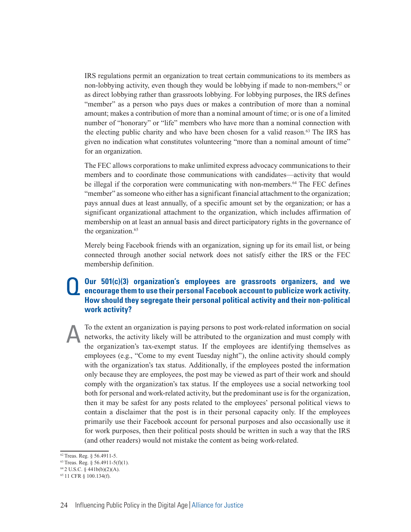IRS regulations permit an organization to treat certain communications to its members as non-lobbying activity, even though they would be lobbying if made to non-members,<sup>62</sup> or as direct lobbying rather than grassroots lobbying. For lobbying purposes, the IRS defines "member" as a person who pays dues or makes a contribution of more than a nominal amount; makes a contribution of more than a nominal amount of time; or is one of a limited number of "honorary" or "life" members who have more than a nominal connection with the electing public charity and who have been chosen for a valid reason. $63$  The IRS has given no indication what constitutes volunteering "more than a nominal amount of time" for an organization.

The FEC allows corporations to make unlimited express advocacy communications to their members and to coordinate those communications with candidates—activity that would be illegal if the corporation were communicating with non-members.64 The FEC defines "member" as someone who either has a significant financial attachment to the organization; pays annual dues at least annually, of a specific amount set by the organization; or has a significant organizational attachment to the organization, which includes affirmation of membership on at least an annual basis and direct participatory rights in the governance of the organization.<sup>65</sup>

Merely being Facebook friends with an organization, signing up for its email list, or being connected through another social network does not satisfy either the IRS or the FEC membership definition.

#### **Our 501(c)(3) organization's employees are grassroots organizers, and we encourage them to use their personal Facebook account to publicize work activity. How should they segregate their personal political activity and their non-political work activity?**

To the extent an organization is paying persons to post work-related information on social networks, the activity likely will be attributed to the organization and must comply with the organization's tax-exempt status. If the employees are identifying themselves as employees (e.g., "Come to my event Tuesday night"), the online activity should comply with the organization's tax status. Additionally, if the employees posted the information only because they are employees, the post may be viewed as part of their work and should comply with the organization's tax status. If the employees use a social networking tool both for personal and work-related activity, but the predominant use is for the organization, then it may be safest for any posts related to the employees' personal political views to contain a disclaimer that the post is in their personal capacity only. If the employees primarily use their Facebook account for personal purposes and also occasionally use it for work purposes, then their political posts should be written in such a way that the IRS (and other readers) would not mistake the content as being work-related.

<sup>62</sup> Treas. Reg. § 56.4911-5.

<sup>63</sup> Treas. Reg. § 56.4911-5(f)(1).

 $64$  2 U.S.C. § 441b(b)(2)(A).

 $65$  11 CFR § 100.134(f).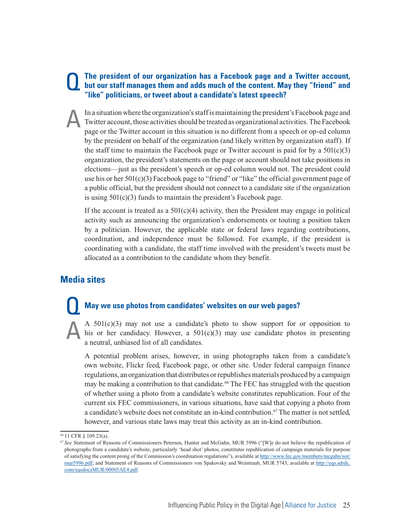#### **The president of our organization has a Facebook page and a Twitter account, but our staff manages them and adds much of the content. May they "friend" and "like" politicians, or tweet about a candidate's latest speech?**

In a situation where the organization's staff is maintaining the president's Facebook page and Twitter account, those activities should be treated as organizational activities. The Facebook page or the Twitter account in this situation is no different from a speech or op-ed column by the president on behalf of the organization (and likely written by organization staff). If the staff time to maintain the Facebook page or Twitter account is paid for by a  $501(c)(3)$ organization, the president's statements on the page or account should not take positions in elections—just as the president's speech or op-ed column would not. The president could use his or her 501(c)(3) Facebook page to "friend" or "like" the official government page of a public official, but the president should not connect to a candidate site if the organization is using 501(c)(3) funds to maintain the president's Facebook page.

If the account is treated as a  $501(c)(4)$  activity, then the President may engage in political activity such as announcing the organization's endorsements or touting a position taken by a politician. However, the applicable state or federal laws regarding contributions, coordination, and independence must be followed. For example, if the president is coordinating with a candidate, the staff time involved with the president's tweets must be allocated as a contribution to the candidate whom they benefit.

# **Media sites**

#### **May we use photos from candidates' websites on our web pages?**

A  $501(c)(3)$  may not use a candidate's photo to show support for or opposition to his or her candidacy. However, a  $501(c)(3)$  may use candidate photos in presenting a neutral, unbiased list of all candidates.

A potential problem arises, however, in using photographs taken from a candidate's own website, Flickr feed, Facebook page, or other site. Under federal campaign finance regulations, an organization that distributes or republishes materials produced by a campaign may be making a contribution to that candidate.<sup>66</sup> The FEC has struggled with the question of whether using a photo from a candidate's website constitutes republication. Four of the current six FEC commissioners, in various situations, have said that copying a photo from a candidate's website does not constitute an in-kind contribution.67 The matter is not settled, however, and various state laws may treat this activity as an in-kind contribution.

<sup>66 11</sup> CFR § 109.23(a).

<sup>&</sup>lt;sup>67</sup> See Statement of Reasons of Commissioners Petersen, Hunter and McGahn, MUR 5996 ("[W]e do not believe the republication of photographs from a candidate's website, particularly 'head shot' photos, constitutes republication of campaign materials for purpose of satisfying the content prong of the Commission's coordination regulations"), available at http://www.fec.gov/members/mcgahn/sor/ mur5996.pdf; and Statement of Reasons of Commissioners von Spakovsky and Weintraub, MUR 5743, available at http://eqs.sdrdc. com/eqsdocsMUR/00005AE4.pdf.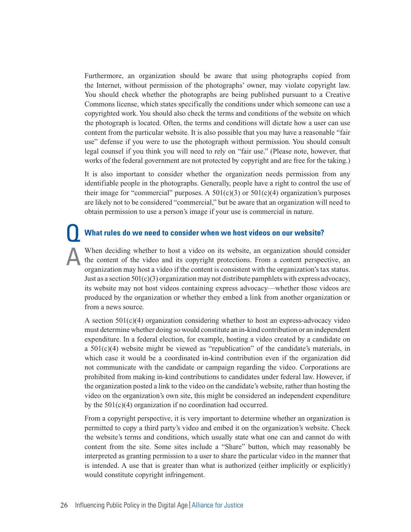Furthermore, an organization should be aware that using photographs copied from the Internet, without permission of the photographs' owner, may violate copyright law. You should check whether the photographs are being published pursuant to a Creative Commons license, which states specifically the conditions under which someone can use a copyrighted work. You should also check the terms and conditions of the website on which the photograph is located. Often, the terms and conditions will dictate how a user can use content from the particular website. It is also possible that you may have a reasonable "fair use" defense if you were to use the photograph without permission. You should consult legal counsel if you think you will need to rely on "fair use." (Please note, however, that works of the federal government are not protected by copyright and are free for the taking.)

It is also important to consider whether the organization needs permission from any identifiable people in the photographs. Generally, people have a right to control the use of their image for "commercial" purposes. A  $501(c)(3)$  or  $501(c)(4)$  organization's purposes are likely not to be considered "commercial," but be aware that an organization will need to obtain permission to use a person's image if your use is commercial in nature.

#### **What rules do we need to consider when we host videos on our website?**

When deciding whether to host a video on its website, an organization should consider the content of the video and its copyright protections. From a content perspective, an organization may host a video if the content is consistent with the organization's tax status. Just as a section  $501(c)(3)$  organization may not distribute pamphlets with express advocacy, its website may not host videos containing express advocacy—whether those videos are produced by the organization or whether they embed a link from another organization or from a news source.

A section  $501(c)(4)$  organization considering whether to host an express-advocacy video must determine whether doing so would constitute an in-kind contribution or an independent expenditure. In a federal election, for example, hosting a video created by a candidate on a  $501(c)(4)$  website might be viewed as "republication" of the candidate's materials, in which case it would be a coordinated in-kind contribution even if the organization did not communicate with the candidate or campaign regarding the video. Corporations are prohibited from making in-kind contributions to candidates under federal law. However, if the organization posted a link to the video on the candidate's website, rather than hosting the video on the organization's own site, this might be considered an independent expenditure by the 501(c)(4) organization if no coordination had occurred.

From a copyright perspective, it is very important to determine whether an organization is permitted to copy a third party's video and embed it on the organization's website. Check the website's terms and conditions, which usually state what one can and cannot do with content from the site. Some sites include a "Share" button, which may reasonably be interpreted as granting permission to a user to share the particular video in the manner that is intended. A use that is greater than what is authorized (either implicitly or explicitly) would constitute copyright infringement.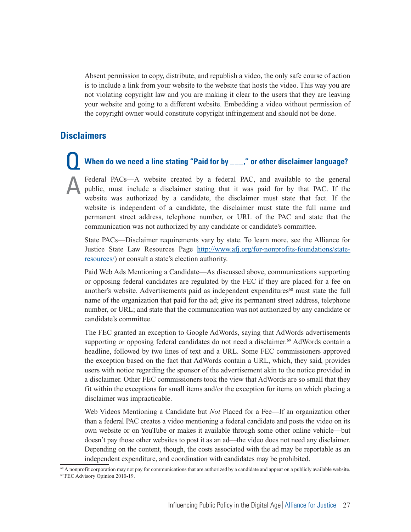Absent permission to copy, distribute, and republish a video, the only safe course of action is to include a link from your website to the website that hosts the video. This way you are not violating copyright law and you are making it clear to the users that they are leaving your website and going to a different website. Embedding a video without permission of the copyright owner would constitute copyright infringement and should not be done.

#### **Disclaimers**

# **When do we need a line stating "Paid for by \_\_\_," or other disclaimer language?**

Federal PACs—A website created by a federal PAC, and available to the general public, must include a disclaimer stating that it was paid for by that PAC. If the website was authorized by a candidate, the disclaimer must state that fact. If the website is independent of a candidate, the disclaimer must state the full name and permanent street address, telephone number, or URL of the PAC and state that the communication was not authorized by any candidate or candidate's committee.

State PACs—Disclaimer requirements vary by state. To learn more, see the Alliance for Justice State Law Resources Page http://www.afj.org/for-nonprofits-foundations/stateresources/) or consult a state's election authority.

Paid Web Ads Mentioning a Candidate—As discussed above, communications supporting or opposing federal candidates are regulated by the FEC if they are placed for a fee on another's website. Advertisements paid as independent expenditures<sup>68</sup> must state the full name of the organization that paid for the ad; give its permanent street address, telephone number, or URL; and state that the communication was not authorized by any candidate or candidate's committee.

The FEC granted an exception to Google AdWords, saying that AdWords advertisements supporting or opposing federal candidates do not need a disclaimer.<sup>69</sup> AdWords contain a headline, followed by two lines of text and a URL. Some FEC commissioners approved the exception based on the fact that AdWords contain a URL, which, they said, provides users with notice regarding the sponsor of the advertisement akin to the notice provided in a disclaimer. Other FEC commissioners took the view that AdWords are so small that they fit within the exceptions for small items and/or the exception for items on which placing a disclaimer was impracticable.

Web Videos Mentioning a Candidate but *Not* Placed for a Fee—If an organization other than a federal PAC creates a video mentioning a federal candidate and posts the video on its own website or on YouTube or makes it available through some other online vehicle—but doesn't pay those other websites to post it as an ad—the video does not need any disclaimer. Depending on the content, though, the costs associated with the ad may be reportable as an independent expenditure, and coordination with candidates may be prohibited.

<sup>&</sup>lt;sup>68</sup> A nonprofit corporation may not pay for communications that are authorized by a candidate and appear on a publicly available website. 69 FEC Advisory Opinion 2010-19.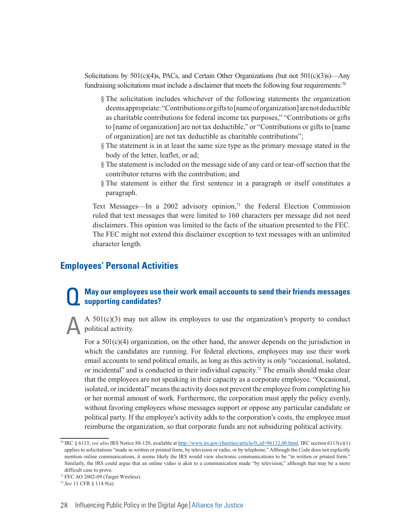Solicitations by  $501(c)(4)$ s, PACs, and Certain Other Organizations (but not  $501(c)(3)$ s)—Any fundraising solicitations must include a disclaimer that meets the following four requirements:<sup>70</sup>

- § The solicitation includes whichever of the following statements the organization deems appropriate: "Contributions or gifts to [name of organization] are not deductible as charitable contributions for federal income tax purposes," "Contributions or gifts to [name of organization] are not tax deductible," or "Contributions or gifts to [name of organization] are not tax deductible as charitable contributions";
- § The statement is in at least the same size type as the primary message stated in the body of the letter, leaflet, or ad;
- § The statement is included on the message side of any card or tear-off section that the contributor returns with the contribution; and
- § The statement is either the first sentence in a paragraph or itself constitutes a paragraph.

Text Messages—In a 2002 advisory opinion, $71$  the Federal Election Commission ruled that text messages that were limited to 160 characters per message did not need disclaimers. This opinion was limited to the facts of the situation presented to the FEC. The FEC might not extend this disclaimer exception to text messages with an unlimited character length.

#### **Employees' Personal Activities**

#### **May our employees use their work email accounts to send their friends messages supporting candidates?**

A  $501(c)(3)$  may not allow its employees to use the organization's property to conduct political activity.

For a  $501(c)(4)$  organization, on the other hand, the answer depends on the jurisdiction in which the candidates are running. For federal elections, employees may use their work email accounts to send political emails, as long as this activity is only "occasional, isolated, or incidental" and is conducted in their individual capacity.<sup>72</sup> The emails should make clear that the employees are not speaking in their capacity as a corporate employee. "Occasional, isolated, or incidental" means the activity does not prevent the employee from completing his or her normal amount of work. Furthermore, the corporation must apply the policy evenly, without favoring employees whose messages support or oppose any particular candidate or political party. If the employee's activity adds to the corporation's costs, the employee must reimburse the organization, so that corporate funds are not subsidizing political activity.

<sup>70</sup> IRC § 6113; *see also* IRS Notice 88-120, available at http://www.irs.gov/charities/article/0,,id=96112,00.html. IRC section 6113(c)(1) applies to solicitations "made in written or printed form, by television or radio, or by telephone." Although the Code does not explicitly mention online communications, it seems likely the IRS would view electronic communications to be "in written or printed form." Similarly, the IRS could argue that an online video is akin to a communication made "by television," although that may be a more difficult case to prove.

<sup>71</sup> FEC AO 2002-09 (Target Wireless).

<sup>72</sup>*See* 11 CFR § 114.9(a).